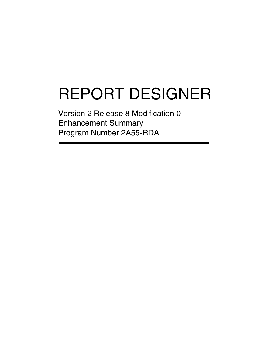# REPORT DESIGNER

Version 2 Release 8 Modification 0 Enhancement Summary Program Number 2A55-RDA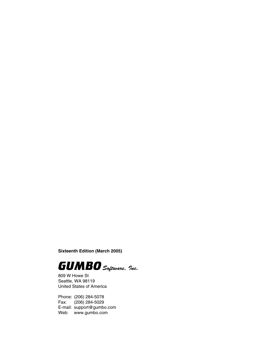**Sixteenth Edition (March 2005)**



809 W Howe St Seattle, WA 98119 United States of America

Phone: (206) 284-5078 Fax: (206) 284-5029 E-mail: support@gumbo.com Web: www.gumbo.com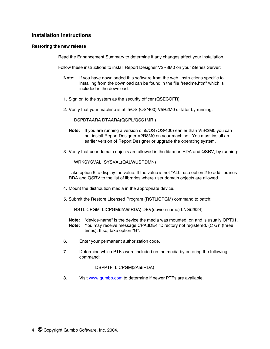### **Installation Instructions**

#### **Restoring the new release**

Read the Enhancement Summary to determine if any changes affect your installation.

Follow these instructions to install Report Designer V2R8M0 on your iSeries Server:

- **Note:** If you have downloaded this software from the web, instructions specific to installing from the download can be found in the file "readme.htm" which is included in the download.
- 1. Sign on to the system as the security officer (QSECOFR).
- 2. Verify that your machine is at i5/OS (OS/400) V5R2M0 or later by running:

DSPDTAARA DTAARA(QGPL/QSS1MRI)

- **Note:** If you are running a version of i5/OS (OS/400) earlier than V5R2M0 you can not install Report Designer V2R8M0 on your machine. You must install an earlier version of Report Designer or upgrade the operating system.
- 3. Verify that user domain objects are allowed in the libraries RDA and QSRV, by running:

WRKSYSVAL SYSVAL(QALWUSRDMN)

Take option 5 to display the value. If the value is not \*ALL, use option 2 to add libraries RDA and QSRV to the list of libraries where user domain objects are allowed.

- 4. Mount the distribution media in the appropriate device.
- 5. Submit the Restore Licensed Program (RSTLICPGM) command to batch:

RSTLICPGM LICPGM(2A55RDA) DEV(device-name) LNG(2924)

- **Note:** "device-name" is the device the media was mounted on and is usually OPT01. **Note:** You may receive message CPA3DE4 "Directory not registered. (C G)" (three times). If so, take option "G".
- 6. Enter your permanent authorization code.
- 7. Determine which PTFs were included on the media by entering the following command:

DSPPTF LICPGM(2A55RDA)

8. Visit www.gumbo.com to determine if newer PTFs are available.